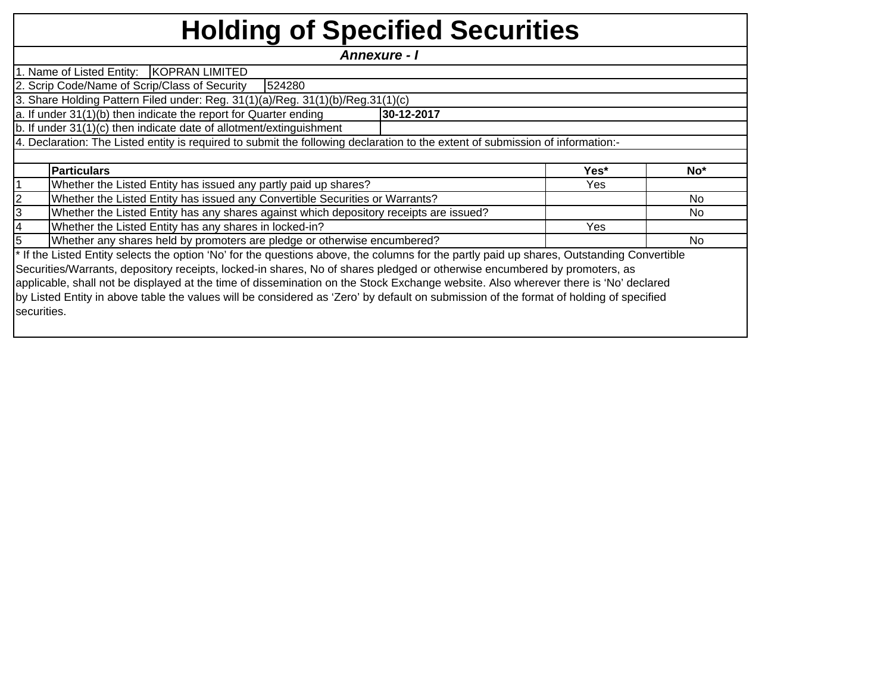## **Holding of Specified Securities**

*Annexure - I* 

1. Name of Listed Entity: KOPRAN LIMITED 2. Scrip Code/Name of Scrip/Class of Security 524280

3. Share Holding Pattern Filed under: Reg. 31(1)(a)/Reg. 31(1)(b)/Reg.31(1)(c)

a. If under 31(1)(b) then indicate the report for Quarter ending **30-12-2017**

b. If under 31(1)(c) then indicate date of allotment/extinguishment

4. Declaration: The Listed entity is required to submit the following declaration to the extent of submission of information:-

| <b>Particulars</b>                                                                                                                                    | Yes* | No <sup>*</sup> |
|-------------------------------------------------------------------------------------------------------------------------------------------------------|------|-----------------|
| Whether the Listed Entity has issued any partly paid up shares?                                                                                       | Yes  |                 |
| Whether the Listed Entity has issued any Convertible Securities or Warrants?                                                                          |      | No.             |
| Whether the Listed Entity has any shares against which depository receipts are issued?                                                                |      | No              |
| Whether the Listed Entity has any shares in locked-in?                                                                                                | Yes  |                 |
| Whether any shares held by promoters are pledge or otherwise encumbered?                                                                              |      | No              |
| <sup>*</sup> If the Listed Entity selects the option 'No' for the questions above, the columns for the partly paid up shares, Outstanding Convertible |      |                 |
| Securities/Warrants, depository receipts, locked-in shares, No of shares pledged or otherwise encumbered by promoters, as                             |      |                 |
| applicable, shall not be displayed at the time of dissemination on the Stock Exchange website. Also wherever there is 'No' declared                   |      |                 |
| by Listed Entity in above table the values will be considered as 'Zero' by default on submission of the format of holding of specified                |      |                 |

securities.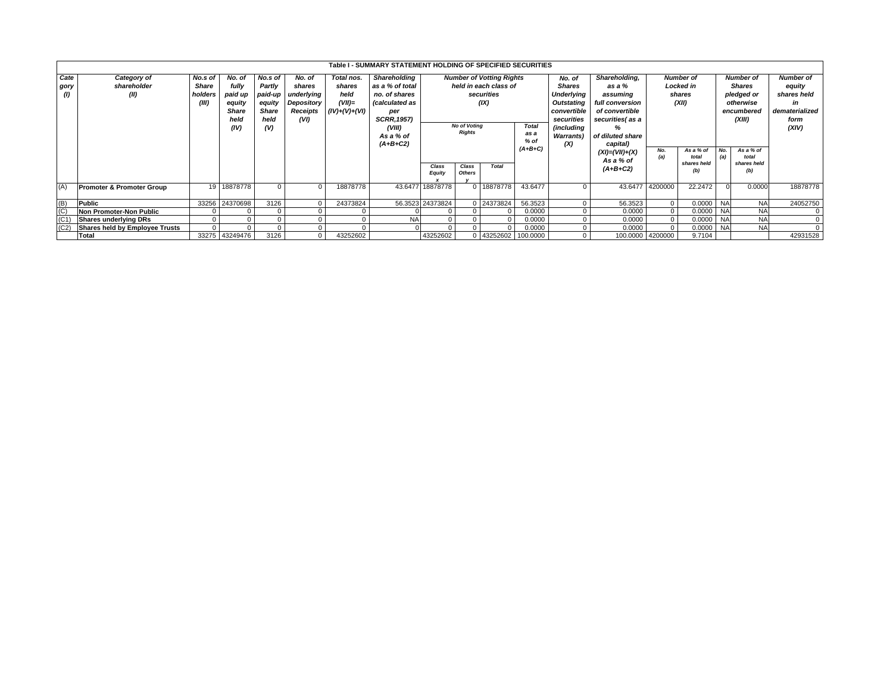|                    | Table I - SUMMARY STATEMENT HOLDING OF SPECIFIED SECURITIES<br><b>Number of Votting Rights</b><br><b>Number of</b><br><b>Number of</b> |         |                |         |            |                 |                       |                  |                     |                       |              |                   |                      |                  |                    |            |                    |                  |
|--------------------|----------------------------------------------------------------------------------------------------------------------------------------|---------|----------------|---------|------------|-----------------|-----------------------|------------------|---------------------|-----------------------|--------------|-------------------|----------------------|------------------|--------------------|------------|--------------------|------------------|
| Cate               | Category of                                                                                                                            | No.s of | No. of         | No.s of | No. of     | Total nos.      | Shareholding          |                  |                     |                       |              | No. of            | Shareholding,        |                  |                    |            |                    | <b>Number of</b> |
| gory               | shareholder                                                                                                                            | Share   | fully          | Partly  | shares     | shares          | as a % of total       |                  |                     | held in each class of |              | <b>Shares</b>     | as a %               | <b>Locked in</b> |                    |            | <b>Shares</b>      | equity           |
| $\left( 0 \right)$ | (II)                                                                                                                                   | holders | paid up        | paid-up | underlying | held            | no. of shares         |                  |                     | securities            |              | <b>Underlying</b> | assumina             |                  | shares             |            | pledged or         | shares held      |
|                    |                                                                                                                                        | (III)   | equity         | equity  | Depository | $(VII)=$        | <i>(calculated as</i> |                  |                     | (IX)                  |              | Outstating        | full conversion      | (XII)            |                    | otherwise  |                    | in               |
|                    |                                                                                                                                        |         | <b>Share</b>   | Share   | Receipts   | $(IV)+(V)+(VI)$ | per                   |                  |                     |                       |              | convertible       | of convertible       |                  |                    | encumbered |                    | dematerialized   |
|                    |                                                                                                                                        |         | held           | held    | (VI)       |                 | <b>SCRR, 1957)</b>    |                  |                     |                       |              | securities        | securities(as a      |                  |                    | (XIII)     |                    | form             |
|                    |                                                                                                                                        |         | (IV)           | (V)     |            |                 | (VIII)                |                  | <b>No of Voting</b> |                       | <b>Total</b> | (including        |                      |                  |                    |            |                    | (XIV)            |
|                    |                                                                                                                                        |         |                |         |            |                 | As a % of             |                  | <b>Rights</b>       |                       | as a         | <b>Warrants</b> ) | of diluted share     |                  |                    |            |                    |                  |
|                    |                                                                                                                                        |         |                |         |            |                 | $(A+B+C2)$            |                  |                     |                       | $%$ of       | (X)               | capital)             |                  |                    |            |                    |                  |
|                    |                                                                                                                                        |         |                |         |            |                 |                       |                  | $(A+B+C)$           |                       |              |                   | $(XI) = (VII) + (X)$ | No.              | As a % of          | No.        | As a % of          |                  |
|                    |                                                                                                                                        |         |                |         |            |                 |                       |                  |                     |                       |              |                   | As a % of            | (a)              | total              |            | total              |                  |
|                    |                                                                                                                                        |         |                |         |            |                 |                       | Class            | Class               | <b>Total</b>          |              |                   | $(A+B+C2)$           |                  | shares held<br>(b) |            | shares held<br>(b) |                  |
|                    |                                                                                                                                        |         |                |         |            |                 |                       | Equity           | <b>Others</b>       |                       |              |                   |                      |                  |                    |            |                    |                  |
| (A)                | <b>Promoter &amp; Promoter Group</b>                                                                                                   | 19      | 18878778       |         |            | 18878778        |                       | 43.6477 18878778 |                     | 18878778              | 43.6477      |                   | 43.6477              | 4200000          | 22.2472            |            | 0.0000             | 18878778         |
|                    |                                                                                                                                        |         |                |         |            |                 |                       |                  |                     |                       |              |                   |                      |                  |                    |            |                    |                  |
| (B)                | Public                                                                                                                                 |         | 33256 24370698 | 3126    |            | 24373824        |                       | 56.3523 24373824 |                     | 0 24373824            | 56.3523      |                   | 56.3523              | $\Omega$         | 0.0000             | <b>NA</b>  | <b>NA</b>          | 24052750         |
| (C)                | Non Promoter-Non Public                                                                                                                |         |                |         |            |                 |                       |                  |                     |                       | 0.0000       |                   | 0.0000               | $\overline{0}$   | 0.0000             | <b>NA</b>  | <b>NA</b>          |                  |
| (C <sub>1</sub> )  | <b>Shares underlying DRs</b>                                                                                                           |         |                |         |            |                 | <b>NA</b>             |                  |                     |                       | 0.0000       |                   | 0.0000               | $\overline{0}$   | 0.0000             | <b>NA</b>  | <b>NA</b>          |                  |
| (C2)               | <b>Shares held by Employee Trusts</b>                                                                                                  |         |                |         |            |                 |                       |                  |                     |                       | 0.0000       |                   | 0.0000               | $\Omega$         | 0.0000             | <b>NA</b>  | <b>NA</b>          |                  |
|                    | Total                                                                                                                                  |         | 33275 43249476 | 3126    |            | 43252602        |                       | 43252602         |                     | 0 43252602 100.0000   |              | 0                 |                      | 100.0000 4200000 | 9.7104             |            |                    | 42931528         |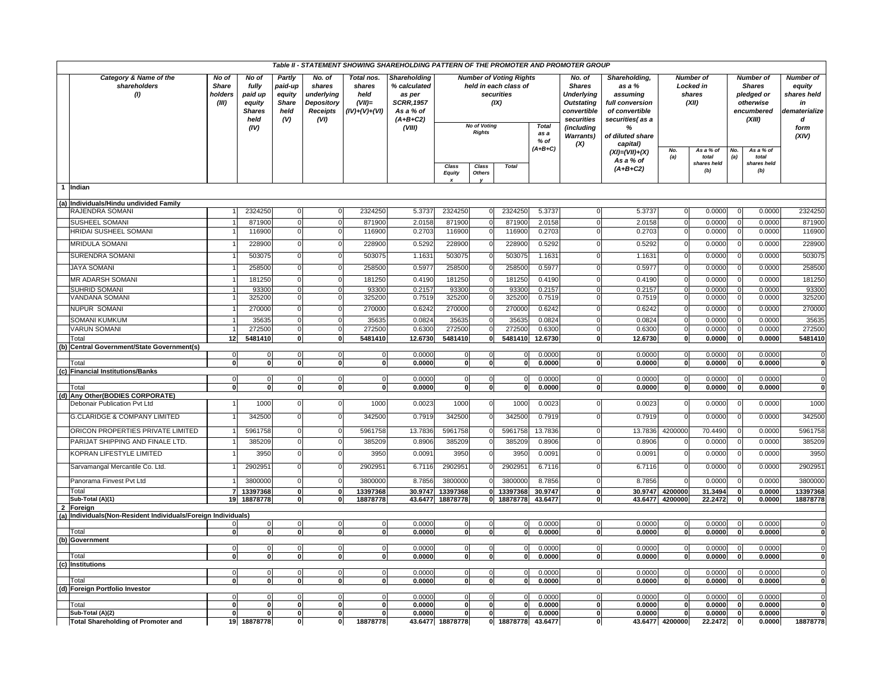| Table II - STATEMENT SHOWING SHAREHOLDING PATTERN OF THE PROMOTER AND PROMOTER GROUP |                                                           |                                           |                                                                      |                                                            |                                                                         |                                                             |                                                                                                         |                      |                                      |                                                                               |                              |                                                                                                                                  |                                                                                                                                  |                                    |                                                         |                          |                                                                                      |                                                                                        |
|--------------------------------------------------------------------------------------|-----------------------------------------------------------|-------------------------------------------|----------------------------------------------------------------------|------------------------------------------------------------|-------------------------------------------------------------------------|-------------------------------------------------------------|---------------------------------------------------------------------------------------------------------|----------------------|--------------------------------------|-------------------------------------------------------------------------------|------------------------------|----------------------------------------------------------------------------------------------------------------------------------|----------------------------------------------------------------------------------------------------------------------------------|------------------------------------|---------------------------------------------------------|--------------------------|--------------------------------------------------------------------------------------|----------------------------------------------------------------------------------------|
|                                                                                      | Category & Name of the<br>shareholders<br>(1)             | No of<br><b>Share</b><br>holders<br>(III) | No of<br>fully<br>paid up<br>equity<br><b>Shares</b><br>held<br>(IV) | Partly<br>paid-up<br>equity<br><b>Share</b><br>held<br>(V) | No. of<br>shares<br>underlying<br>Depository<br><b>Receipts</b><br>(VI) | Total nos.<br>shares<br>held<br>$(VII)=$<br>$(IV)+(V)+(VI)$ | <b>Shareholding</b><br>% calculated<br>as per<br><b>SCRR, 1957</b><br>As a % of<br>$(A+B+C2)$<br>(VIII) |                      | <b>No of Voting</b><br><b>Rights</b> | <b>Number of Voting Rights</b><br>held in each class of<br>securities<br>(IX) | <b>Total</b><br>as a<br>% of | No. of<br><b>Shares</b><br>Underlying<br><b>Outstating</b><br>convertible<br>securities<br>(including<br><b>Warrants)</b><br>(X) | Shareholding,<br>as a %<br>assuming<br>full conversion<br>of convertible<br>securities(as a<br>%<br>of diluted share<br>capital) |                                    | <b>Number of</b><br><b>Locked in</b><br>shares<br>(XII) |                          | <b>Number of</b><br><b>Shares</b><br>pledged or<br>otherwise<br>encumbered<br>(XIII) | <b>Number of</b><br>equity<br>shares held<br>in<br>dematerialize<br>d<br>form<br>(XIV) |
|                                                                                      |                                                           |                                           |                                                                      |                                                            |                                                                         |                                                             |                                                                                                         | Class<br>Equity      | Class<br><b>Others</b>               | <b>Total</b>                                                                  | $(A+B+C)$                    |                                                                                                                                  | $(XI) = (VII) + (X)$<br>As a % of<br>$(A+B+C2)$                                                                                  | No.<br>(a)                         | As a % of<br>total<br>shares held<br>(b)                | No.<br>(a)               | As a % of<br>total<br>shares held<br>(b)                                             |                                                                                        |
| $\overline{1}$                                                                       | Indian                                                    |                                           |                                                                      |                                                            |                                                                         |                                                             |                                                                                                         |                      |                                      |                                                                               |                              |                                                                                                                                  |                                                                                                                                  |                                    |                                                         |                          |                                                                                      |                                                                                        |
|                                                                                      |                                                           |                                           |                                                                      |                                                            |                                                                         |                                                             |                                                                                                         |                      |                                      |                                                                               |                              |                                                                                                                                  |                                                                                                                                  |                                    |                                                         |                          |                                                                                      |                                                                                        |
|                                                                                      | (a) Individuals/Hindu undivided Family<br>RAJENDRA SOMANI |                                           | 2324250                                                              |                                                            | $\Omega$                                                                | 2324250                                                     | 5.3737                                                                                                  | 2324250              |                                      | 2324250                                                                       |                              |                                                                                                                                  | 5.3737                                                                                                                           | $\mathbf 0$                        | 0.0000                                                  |                          | 0.0000                                                                               | 2324250                                                                                |
|                                                                                      | SUSHEEL SOMANI                                            |                                           | 871900                                                               | 0<br>$\Omega$                                              | $\Omega$                                                                | 871900                                                      | 2.0158                                                                                                  | 871900               |                                      | 871900                                                                        | 5.3737<br>2.0158             | 0<br>$\mathbf 0$                                                                                                                 | 2.0158                                                                                                                           |                                    | 0.0000                                                  | $\mathbf 0$<br>$\Omega$  | 0.0000                                                                               | 871900                                                                                 |
|                                                                                      | HRIDAI SUSHEEL SOMANI                                     |                                           | 116900                                                               | $\Omega$                                                   | 0                                                                       | 116900                                                      | 0.2703                                                                                                  | 116900               |                                      | 116900                                                                        | 0.2703                       | $\Omega$                                                                                                                         | 0.2703                                                                                                                           | $\mathbf 0$                        | 0.0000                                                  | $\Omega$                 | 0.0000                                                                               | 116900                                                                                 |
|                                                                                      |                                                           |                                           |                                                                      |                                                            |                                                                         |                                                             |                                                                                                         |                      |                                      |                                                                               |                              |                                                                                                                                  |                                                                                                                                  |                                    |                                                         |                          |                                                                                      |                                                                                        |
|                                                                                      | <b>MRIDULA SOMANI</b>                                     |                                           | 228900                                                               |                                                            |                                                                         | 228900                                                      | 0.5292                                                                                                  | 228900               |                                      | 228900                                                                        | 0.5292                       | $\Omega$                                                                                                                         | 0.5292                                                                                                                           |                                    | 0.0000                                                  | $\mathbf 0$              | 0.0000                                                                               | 228900                                                                                 |
|                                                                                      | SURENDRA SOMANI                                           |                                           | 503075                                                               |                                                            |                                                                         | 503075                                                      | 1.163                                                                                                   | 503075               |                                      | 503075                                                                        | 1.1631                       | $\Omega$                                                                                                                         | 1.1631                                                                                                                           |                                    | 0.0000                                                  |                          | 0.0000                                                                               | 503075                                                                                 |
|                                                                                      | <b>JAYA SOMANI</b>                                        |                                           | 258500                                                               |                                                            | $\Omega$                                                                | 258500                                                      | 0.597                                                                                                   | 258500               |                                      | 258500                                                                        | 0.5977                       | $\Omega$                                                                                                                         | 0.5977                                                                                                                           | $\Omega$                           | 0.0000                                                  | $\Omega$                 | 0.0000                                                                               | 258500                                                                                 |
|                                                                                      | MR ADARSH SOMANI                                          |                                           | 181250                                                               | $\Omega$                                                   | U                                                                       | 181250                                                      | 0.4190                                                                                                  | 181250               |                                      | 181250                                                                        | 0.4190                       | $\Omega$                                                                                                                         | 0.4190                                                                                                                           |                                    | 0.0000                                                  | $\Omega$                 | 0.0000                                                                               | 181250                                                                                 |
|                                                                                      | <b>SUHRID SOMANI</b>                                      |                                           | 93300                                                                |                                                            |                                                                         | 93300                                                       | 0.2157                                                                                                  | 93300                |                                      | 93300                                                                         | 0.2157                       | $\Omega$                                                                                                                         | 0.2157                                                                                                                           |                                    | 0.0000                                                  |                          | 0.0000                                                                               | 93300                                                                                  |
|                                                                                      | <b>VANDANA SOMANI</b>                                     |                                           | 325200                                                               |                                                            |                                                                         | 325200                                                      | 0.7519                                                                                                  | 325200               |                                      | 325200                                                                        | 0.7519                       | $\Omega$                                                                                                                         | 0.7519                                                                                                                           |                                    | 0.0000                                                  | $\Omega$                 | 0.000                                                                                | 325200                                                                                 |
|                                                                                      | <b>NUPUR SOMANI</b>                                       |                                           | 270000                                                               |                                                            | $\Omega$                                                                | 270000                                                      | 0.6242                                                                                                  | 270000               |                                      | 270000                                                                        | 0.6242                       | $\Omega$                                                                                                                         | 0.6242                                                                                                                           |                                    | 0.0000                                                  |                          | 0.0000                                                                               | 270000                                                                                 |
|                                                                                      | SOMANI KUMKUM                                             |                                           | 35635                                                                | $\Omega$                                                   | 0                                                                       | 35635                                                       | 0.0824                                                                                                  | 35635                |                                      | 35635                                                                         | 0.0824                       | $\mathbf 0$                                                                                                                      | 0.0824                                                                                                                           | 0                                  | 0.0000                                                  |                          | 0.0000                                                                               | 35635                                                                                  |
|                                                                                      | <b>VARUN SOMANI</b>                                       |                                           | 272500                                                               | $\Omega$                                                   | $\Omega$                                                                | 272500                                                      | 0.6300                                                                                                  | 272500               |                                      | 272500                                                                        | 0.6300                       | $\Omega$                                                                                                                         | 0.6300                                                                                                                           | $\mathbf 0$                        | 0.0000                                                  | $\overline{0}$           | 0.0000                                                                               | 272500                                                                                 |
|                                                                                      | Total<br>(b) Central Government/State Government(s)       | 12                                        | 5481410                                                              | $\mathbf{0}$                                               | $\mathbf{0}$                                                            | 5481410                                                     | 12.6730                                                                                                 | 5481410              | $\mathbf 0$                          | 5481410                                                                       | 12.6730                      | $\mathbf{0}$                                                                                                                     | 12.6730                                                                                                                          | $\mathbf{0}$                       | 0.0000                                                  | $\mathbf{0}$             | 0.0000                                                                               | 5481410                                                                                |
|                                                                                      |                                                           | $\mathbf 0$                               | $\mathbf 0$                                                          | $\Omega$                                                   | $\overline{0}$                                                          | $\Omega$                                                    | 0.0000                                                                                                  |                      | $\mathbf 0$                          | $\Omega$                                                                      | 0.0000                       | $\overline{0}$                                                                                                                   | 0.0000                                                                                                                           | $\mathbf 0$                        | 0.0000                                                  | $\mathbf 0$              | 0.0000                                                                               | $\Omega$                                                                               |
|                                                                                      | Total                                                     | $\mathbf{0}$                              | $\mathbf{0}$                                                         | $\bf{0}$                                                   | $\mathbf{0}$                                                            | $\mathbf 0$                                                 | 0.0000                                                                                                  | $\mathbf{0}$         | ō                                    | 0                                                                             | 0.0000                       | $\mathbf{0}$                                                                                                                     | 0.0000                                                                                                                           | $\overline{0}$                     | 0.0000                                                  | ō                        | 0.0000                                                                               | $\mathbf{0}$                                                                           |
|                                                                                      | (c) Financial Institutions/Banks                          | $\mathbf 0$                               | $\Omega$                                                             | $\Omega$                                                   | $\Omega$                                                                |                                                             | 0.0000                                                                                                  |                      |                                      |                                                                               | 0.0000                       | $\Omega$                                                                                                                         | 0.0000                                                                                                                           | $\mathbf 0$                        | 0.0000                                                  | $\mathbf 0$              | 0.0000                                                                               |                                                                                        |
|                                                                                      | Total                                                     | $\overline{0}$                            | $\overline{0}$                                                       | ō                                                          | $\overline{0}$                                                          | $\mathbf 0$                                                 | 0.0000                                                                                                  | $\mathbf 0$          | $\overline{\mathbf{0}}$              | $\mathbf{0}$                                                                  | 0.0000                       | $\overline{\mathbf{0}}$                                                                                                          | 0.0000                                                                                                                           | $\overline{\mathbf{0}}$            | 0.0000                                                  | $\overline{\phantom{a}}$ | 0.0000                                                                               | $\mathbf{o}$                                                                           |
|                                                                                      | (d) Any Other(BODIES CORPORATE)                           |                                           |                                                                      |                                                            |                                                                         |                                                             |                                                                                                         |                      |                                      |                                                                               |                              |                                                                                                                                  |                                                                                                                                  |                                    |                                                         |                          |                                                                                      |                                                                                        |
|                                                                                      | Debonair Publication Pvt Ltd                              |                                           | 1000                                                                 | $\Omega$                                                   | 0                                                                       | 1000                                                        | 0.0023                                                                                                  | 1000                 |                                      | 1000                                                                          | 0.0023                       | $\Omega$                                                                                                                         | 0.0023                                                                                                                           | $\mathbf 0$                        | 0.0000                                                  | $\Omega$                 | 0.0000                                                                               | 1000                                                                                   |
|                                                                                      | <b>G.CLARIDGE &amp; COMPANY LIMITED</b>                   |                                           | 342500                                                               |                                                            |                                                                         | 342500                                                      | 0.7919                                                                                                  | 342500               |                                      | 342500                                                                        | 0.7919                       | $\Omega$                                                                                                                         | 0.7919                                                                                                                           |                                    | 0.0000                                                  | $\Omega$                 | 0.0000                                                                               | 342500                                                                                 |
|                                                                                      | ORICON PROPERTIES PRIVATE LIMITED                         |                                           | 5961758                                                              | $\Omega$                                                   |                                                                         | 5961758                                                     | 13.7836                                                                                                 | 5961758              |                                      | 5961758                                                                       | 13.7836                      | $\Omega$                                                                                                                         | 13.7836                                                                                                                          | 4200000                            | 70.4490                                                 | $\Omega$                 | 0.0000                                                                               | 5961758                                                                                |
|                                                                                      | PARIJAT SHIPPING AND FINALE LTD.                          |                                           | 385209                                                               |                                                            | O                                                                       | 385209                                                      | 0.8906                                                                                                  | 385209               |                                      | 385209                                                                        | 0.8906                       | $\Omega$                                                                                                                         | 0.8906                                                                                                                           |                                    | 0.0000                                                  | $\Omega$                 | 0.0000                                                                               | 385209                                                                                 |
|                                                                                      | KOPRAN LIFESTYLE LIMITED                                  |                                           | 3950                                                                 | $\Omega$                                                   | n                                                                       | 3950                                                        | 0.0091                                                                                                  | 3950                 |                                      | 3950                                                                          | 0.0091                       | $\Omega$                                                                                                                         | 0.0091                                                                                                                           |                                    | 0.0000                                                  | $\Omega$                 | 0.0000                                                                               | 3950                                                                                   |
|                                                                                      | Sarvamangal Mercantile Co. Ltd.                           |                                           | 2902951                                                              |                                                            |                                                                         | 2902951                                                     | 6.7116                                                                                                  | 2902951              |                                      | 2902951                                                                       | 6.7116                       | $\Omega$                                                                                                                         | 6.7116                                                                                                                           |                                    | 0.0000                                                  |                          | 0.0000                                                                               | 2902951                                                                                |
|                                                                                      | Panorama Finvest Pvt Ltd                                  |                                           | 3800000                                                              | $\Omega$                                                   | 0                                                                       | 3800000                                                     | 8.7856                                                                                                  | 3800000              |                                      | 3800000                                                                       | 8.7856                       | $\Omega$                                                                                                                         | 8.7856                                                                                                                           |                                    | 0.0000                                                  | $\Omega$                 | 0.0000                                                                               | 3800000                                                                                |
|                                                                                      | Total<br>Sub-Total (A)(1)                                 |                                           | 13397368<br>19 18878778                                              | $\Omega$<br>$\mathbf{0}$                                   | $\mathbf{0}$<br>$\mathbf{0}$                                            | 13397368<br>18878778                                        | 30.9747<br>43.6477                                                                                      | 13397368<br>18878778 | $\Omega$                             | 13397368<br>0 18878778                                                        | 30.9747<br>43.6477           | $\mathbf{0}$<br>$\mathbf{0}$                                                                                                     |                                                                                                                                  | 30.9747 4200000<br>43.6477 4200000 | 31.3494<br>22.2472                                      | $\Omega$<br>$\mathbf{0}$ | 0.0000<br>0.0000                                                                     | 13397368<br>18878778                                                                   |
|                                                                                      | Foreign                                                   |                                           |                                                                      |                                                            |                                                                         |                                                             |                                                                                                         |                      |                                      |                                                                               |                              |                                                                                                                                  |                                                                                                                                  |                                    |                                                         |                          |                                                                                      |                                                                                        |
|                                                                                      | Individuals(Non-Resident Individuals/Foreign Individuals) |                                           |                                                                      |                                                            |                                                                         |                                                             |                                                                                                         |                      |                                      |                                                                               |                              |                                                                                                                                  |                                                                                                                                  |                                    |                                                         |                          |                                                                                      |                                                                                        |
|                                                                                      | Total                                                     | $\mathbf{0}$                              | $\mathbf 0$<br>$\mathbf{0}$                                          | $\Omega$<br>$\Omega$                                       | $\Omega$<br>O.                                                          | $\Omega$                                                    | 0.0000<br>0.0000                                                                                        | $\Omega$             | $\mathbf 0$<br>$\overline{0}$        | $\mathbf 0$<br>$\overline{0}$                                                 | 0.0000<br>0.0000             | $\mathbf 0$<br>$\mathbf{0}$                                                                                                      | 0.0000<br>0.0000                                                                                                                 | 0<br>$\overline{0}$                | 0.0000<br>0.0000                                        | $\Omega$<br>$\mathbf{o}$ | 0.0000<br>0.0000                                                                     | $\Omega$                                                                               |
|                                                                                      | (b) Government                                            |                                           |                                                                      |                                                            |                                                                         |                                                             |                                                                                                         |                      |                                      |                                                                               |                              |                                                                                                                                  |                                                                                                                                  |                                    |                                                         |                          |                                                                                      |                                                                                        |
|                                                                                      |                                                           | $\mathbf 0$                               | $\mathbf 0$                                                          | $\Omega$                                                   | $\Omega$                                                                | n                                                           | 0.0000                                                                                                  | n                    | 0                                    | $\mathbf 0$                                                                   | 0.0000                       | $\mathbf 0$                                                                                                                      | 0.0000                                                                                                                           | $\mathbf 0$                        | 0.0000                                                  | $\Omega$                 | 0.0000                                                                               | $\Omega$                                                                               |
|                                                                                      | Total                                                     | $\mathbf{0}$                              | $\mathbf{0}$                                                         | $\bf{0}$                                                   | 0                                                                       | $\mathbf{0}$                                                | 0.0000                                                                                                  | 0                    | $\mathbf 0$                          | $\mathbf{0}$                                                                  | 0.0000                       | $\mathbf{0}$                                                                                                                     | 0.0000                                                                                                                           | $\mathbf{0}$                       | 0.0000                                                  | $\mathbf{0}$             | 0.0000                                                                               | $\mathbf{0}$                                                                           |
| (c)                                                                                  | <b>Institutions</b>                                       | $\Omega$                                  | $\mathbf 0$                                                          | $\Omega$                                                   | $\Omega$                                                                | $\Omega$                                                    | 0.0000                                                                                                  | $\Omega$             | 0                                    | $\Omega$                                                                      | 0.0000                       | $\Omega$                                                                                                                         | 0.0000                                                                                                                           | $\mathbf 0$                        | 0.0000                                                  | $\overline{0}$           | 0.0000                                                                               | $\overline{0}$                                                                         |
|                                                                                      | Total                                                     | $\mathbf{0}$                              | $\mathbf 0$                                                          | $\Omega$                                                   | O                                                                       | $\mathbf 0$                                                 | 0.0000                                                                                                  | $\mathbf{0}$         | $\mathbf{o}$                         | $\Omega$                                                                      | 0.0000                       | $\mathbf{0}$                                                                                                                     | 0.0000                                                                                                                           | $\overline{0}$                     | 0.0000                                                  | 0                        | 0.0000                                                                               |                                                                                        |
|                                                                                      | (d) Foreign Portfolio Investor                            |                                           |                                                                      |                                                            |                                                                         |                                                             |                                                                                                         |                      |                                      |                                                                               |                              |                                                                                                                                  |                                                                                                                                  |                                    |                                                         |                          |                                                                                      |                                                                                        |
|                                                                                      | Total                                                     | 0<br>$\mathbf{0}$                         | $\mathbf 0$<br>$\mathbf{0}$                                          | $\Omega$<br>$\mathbf{0}$                                   | $\Omega$<br>0                                                           | $\Omega$                                                    | 0.0000<br>0.0000                                                                                        | $\Omega$             | $\Omega$<br>ō                        | $\Omega$<br>$\mathbf{0}$                                                      | 0.0000<br>0.0000             | $\mathbf 0$<br>0                                                                                                                 | 0.0000<br>0.0000                                                                                                                 | $\mathbf 0$<br>$\mathbf{0}$        | 0.0000<br>0.0000                                        | $\Omega$<br>$\mathbf 0$  | 0.0000<br>0.0000                                                                     | $\Omega$<br>$\mathbf{0}$                                                               |
|                                                                                      | Sub-Total (A)(2)                                          | 0                                         | $\mathbf{0}$                                                         | $\bf{0}$                                                   | 0                                                                       | 0                                                           | 0.0000                                                                                                  | 0                    | $\mathbf{0}$                         | 0                                                                             | 0.0000                       | $\mathbf{0}$                                                                                                                     | 0.0000                                                                                                                           | $\mathbf{0}$                       | 0.0000                                                  | $\mathbf 0$              | 0.0000                                                                               | $\mathbf{0}$                                                                           |
|                                                                                      | <b>Total Shareholding of Promoter and</b>                 |                                           | 19 18878778                                                          | <sub>0</sub>                                               | $\mathbf{0}$                                                            | 18878778                                                    |                                                                                                         | 43.6477 18878778     |                                      | 0 18878778                                                                    | 43.6477                      | $\mathbf{0}$                                                                                                                     |                                                                                                                                  | 43.6477 4200000                    | 22.2472                                                 | $\mathbf{0}$             | 0.0000                                                                               | 18878778                                                                               |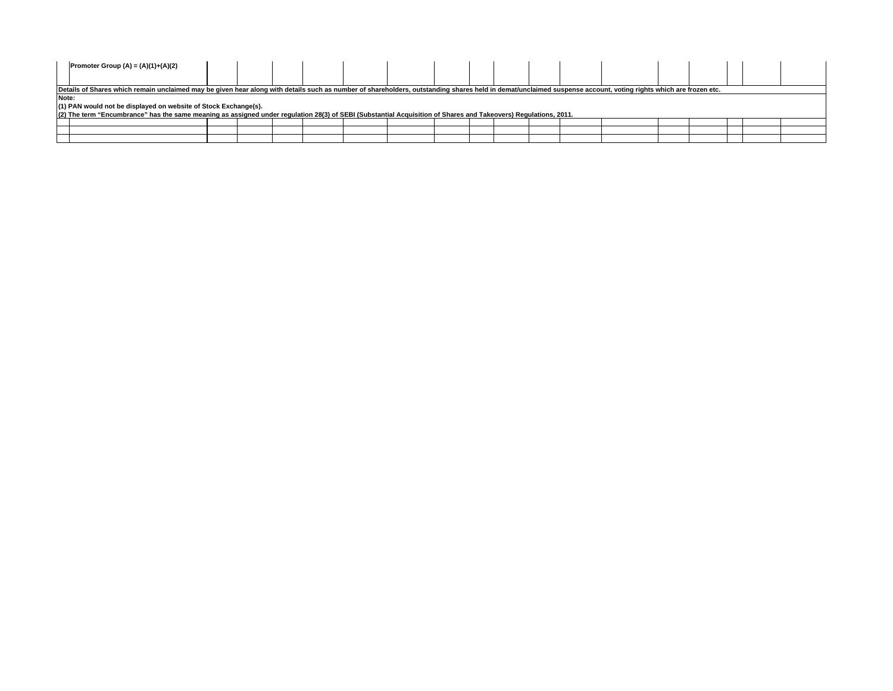| Promoter Group (A) = $(A)(1)+(A)(2)$                                                                                                                                                                           |  |  |  |  |  |  |  |  |  |
|----------------------------------------------------------------------------------------------------------------------------------------------------------------------------------------------------------------|--|--|--|--|--|--|--|--|--|
| Details of Shares which remain unclaimed may be given hear along with details such as number of shareholders, outstanding shares held in demat/unclaimed suspense account, voting rights which are frozen etc. |  |  |  |  |  |  |  |  |  |
| Note:                                                                                                                                                                                                          |  |  |  |  |  |  |  |  |  |
| (1) PAN would not be displayed on website of Stock Exchange(s).                                                                                                                                                |  |  |  |  |  |  |  |  |  |
| (2) The term "Encumbrance" has the same meaning as assigned under regulation 28(3) of SEBI (Substantial Acquisition of Shares and Takeovers) Regulations, 2011.                                                |  |  |  |  |  |  |  |  |  |
|                                                                                                                                                                                                                |  |  |  |  |  |  |  |  |  |
|                                                                                                                                                                                                                |  |  |  |  |  |  |  |  |  |
|                                                                                                                                                                                                                |  |  |  |  |  |  |  |  |  |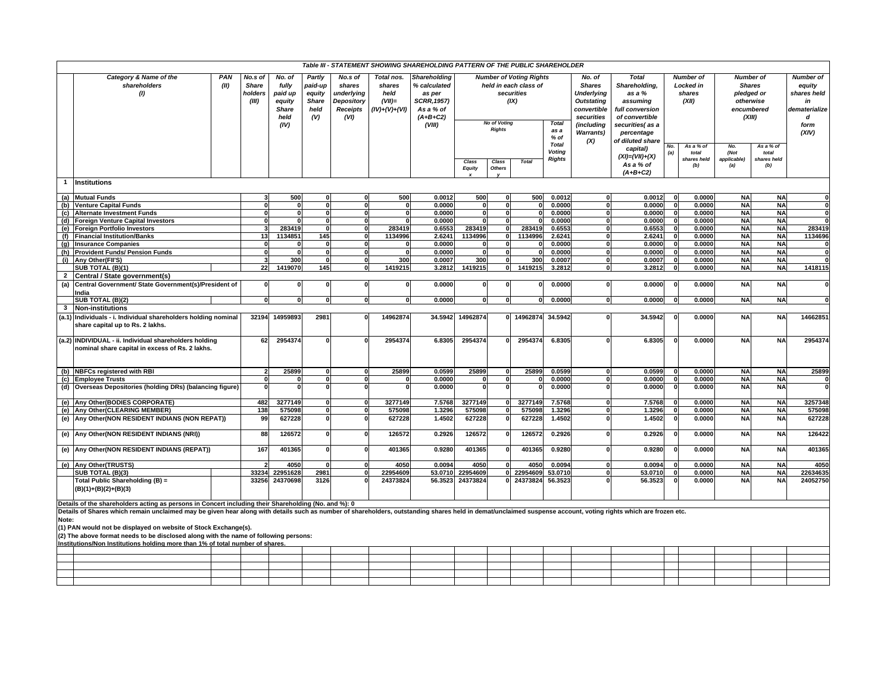| Table III - STATEMENT SHOWING SHAREHOLDING PATTERN OF THE PUBLIC SHAREHOLDER<br>Category & Name of the<br>PAN<br>No.s of<br><b>Number of Voting Rights</b><br><b>Number of</b> |                                                                                                                                                                                                                                                                                                                                                                           |       |                                                                      |                                                            |                                                                          |                                                              |                                                                                                   |                  |                                  |                                             |                                                  |                                                                                                              |                                                                                                             |              |                                                         |                                                                  |                                          |                                                                               |
|--------------------------------------------------------------------------------------------------------------------------------------------------------------------------------|---------------------------------------------------------------------------------------------------------------------------------------------------------------------------------------------------------------------------------------------------------------------------------------------------------------------------------------------------------------------------|-------|----------------------------------------------------------------------|------------------------------------------------------------|--------------------------------------------------------------------------|--------------------------------------------------------------|---------------------------------------------------------------------------------------------------|------------------|----------------------------------|---------------------------------------------|--------------------------------------------------|--------------------------------------------------------------------------------------------------------------|-------------------------------------------------------------------------------------------------------------|--------------|---------------------------------------------------------|------------------------------------------------------------------|------------------------------------------|-------------------------------------------------------------------------------|
|                                                                                                                                                                                | shareholders<br>(II)<br>(1)                                                                                                                                                                                                                                                                                                                                               |       | No. of<br>fully<br>paid up<br>equity<br><b>Share</b><br>held<br>(IV) | Partly<br>paid-up<br>equity<br><b>Share</b><br>held<br>(V) | No.s of<br>shares<br>underlying<br>Depository<br><b>Receipts</b><br>(VI) | Total nos.<br>shares<br>held<br>$(VII)$ =<br>$(IV)+(V)+(VI)$ | Shareholding<br>% calculated<br>as per<br><b>SCRR, 1957)</b><br>As a % of<br>$(A+B+C2)$<br>(VIII) |                  | <b>No of Voting</b>              | held in each class of<br>securities<br>(IX) | <b>Total</b>                                     | No. of<br><b>Shares</b><br><b>Underlying</b><br><b>Outstating</b><br>convertible<br>securities<br>(including | <b>Total</b><br>Shareholding,<br>as a %<br>assuming<br>full conversion<br>of convertible<br>securities(as a |              | <b>Number of</b><br><b>Locked in</b><br>shares<br>(XII) | <b>Shares</b><br>pledged or<br>otherwise<br>encumbered<br>(XIII) |                                          | <b>Number of</b><br>equity<br>shares held<br>in<br>dematerialize<br>d<br>form |
|                                                                                                                                                                                | <b>Institutions</b>                                                                                                                                                                                                                                                                                                                                                       |       |                                                                      |                                                            |                                                                          |                                                              |                                                                                                   | Class<br>Equity  | <b>Rights</b><br>Class<br>Others | <b>Total</b>                                | as a<br>% of<br><b>Total</b><br>Voting<br>Rights | <b>Warrants</b> )<br>(X)                                                                                     | percentage<br>of diluted share<br>capital)<br>$(XI) = (VII) + (X)$<br>As a % of<br>$(A+B+C2)$               | No.<br>(a)   | As a % of<br>total<br>shares held<br>(b)                | No.<br>(Not<br>applicable)<br>(a)                                | As a % of<br>total<br>shares held<br>(b) | (XIV)                                                                         |
|                                                                                                                                                                                | (a) Mutual Funds                                                                                                                                                                                                                                                                                                                                                          |       | 500                                                                  | $\bf{0}$                                                   |                                                                          | 500                                                          | 0.0012                                                                                            | 500              | $\Omega$                         | 500                                         | 0.0012                                           | 0                                                                                                            | 0.0012                                                                                                      | $\Omega$     | 0.0000                                                  | <b>NA</b>                                                        | <b>NA</b>                                |                                                                               |
|                                                                                                                                                                                | (b) Venture Capital Funds                                                                                                                                                                                                                                                                                                                                                 |       | $\Omega$<br>$\Omega$                                                 | $\overline{\mathbf{0}}$                                    | O                                                                        | $\Omega$                                                     | 0.0000                                                                                            |                  | $\Omega$                         | -C                                          | 0.0000                                           | $\Omega$                                                                                                     | 0.0000                                                                                                      | $\Omega$     | 0.0000                                                  | <b>NA</b>                                                        | <b>NA</b>                                | $\Omega$                                                                      |
|                                                                                                                                                                                | (c) Alternate Investment Funds                                                                                                                                                                                                                                                                                                                                            |       | $\Omega$<br>$\Omega$                                                 | $\mathbf{0}$                                               | $\Omega$                                                                 |                                                              | 0.0000                                                                                            | $\Omega$         | $\Omega$                         |                                             | 0.0000                                           | $\mathbf{0}$                                                                                                 | 0.0000                                                                                                      | $\Omega$     | 0.0000                                                  | <b>NA</b>                                                        | <b>NA</b>                                | O                                                                             |
|                                                                                                                                                                                | (d) Foreign Venture Capital Investors                                                                                                                                                                                                                                                                                                                                     |       | $\Omega$                                                             | $\mathbf{0}$                                               | 0                                                                        |                                                              | 0.0000                                                                                            |                  | $\bf{0}$                         |                                             | 0.0000                                           | $\mathbf{0}$                                                                                                 | 0.0000                                                                                                      | $\mathbf{0}$ | 0.0000                                                  | <b>NA</b>                                                        | <b>NA</b>                                |                                                                               |
|                                                                                                                                                                                | (e) Foreign Portfolio Investors                                                                                                                                                                                                                                                                                                                                           |       | 283419                                                               | $\mathbf{0}$                                               | $\mathbf{0}$                                                             | 283419                                                       | 0.6553                                                                                            | 283419           | 0                                | 283419                                      | 0.6553                                           | $\mathbf{0}$                                                                                                 | 0.6553                                                                                                      | $\Omega$     | 0.0000                                                  | <b>NA</b>                                                        | <b>NA</b>                                | 283419                                                                        |
|                                                                                                                                                                                | (f) Financial Institution/Banks                                                                                                                                                                                                                                                                                                                                           | 13    | 1134851                                                              | 145                                                        |                                                                          | 1134996                                                      | 2.6241                                                                                            | 1134996          | $\mathbf{0}$                     | 1134996                                     | 2.6241                                           | $\mathbf{0}$                                                                                                 | 2.6241                                                                                                      | $\Omega$     | 0.0000                                                  | <b>NA</b>                                                        | <b>NA</b>                                | 1134696                                                                       |
| (q)                                                                                                                                                                            | <b>Insurance Companies</b>                                                                                                                                                                                                                                                                                                                                                |       |                                                                      | $\mathbf{0}$                                               |                                                                          |                                                              | 0.0000                                                                                            |                  | $\Omega$                         |                                             | 0.0000                                           | $\Omega$                                                                                                     | 0.0000                                                                                                      | $\Omega$     | 0.0000                                                  | <b>NA</b>                                                        | <b>NA</b>                                |                                                                               |
|                                                                                                                                                                                | (h) Provident Funds/ Pension Funds                                                                                                                                                                                                                                                                                                                                        |       | $\Omega$<br>$\Omega$                                                 | $\mathbf{0}$                                               | $\Omega$                                                                 |                                                              | 0.0000                                                                                            | $\Omega$         | $\Omega$                         |                                             | 0.0000                                           | $\mathbf{0}$                                                                                                 | 0.0000                                                                                                      | $\Omega$     | 0.0000                                                  | <b>NA</b>                                                        | <b>NA</b>                                |                                                                               |
|                                                                                                                                                                                | (i) Any Other (FII'S)                                                                                                                                                                                                                                                                                                                                                     |       | 300                                                                  | $\mathbf{0}$                                               | $\mathbf{0}$                                                             | 300                                                          | 0.0007                                                                                            | 300              | $\Omega$                         | 300                                         | 0.0007                                           | $\mathbf{0}$                                                                                                 | 0.0007                                                                                                      |              | 0.0000                                                  | <b>NA</b>                                                        | <b>NA</b>                                |                                                                               |
|                                                                                                                                                                                | SUB TOTAL (B)(1)                                                                                                                                                                                                                                                                                                                                                          |       | 22<br>1419070                                                        | 145                                                        | $\mathbf{0}$                                                             | 1419215                                                      | 3.2812                                                                                            | 1419215          | <sub>0</sub>                     | 1419215                                     | 3.2812                                           | $\mathbf{0}$                                                                                                 | 3.2812                                                                                                      | $\Omega$     | 0.0000                                                  | <b>NA</b>                                                        | <b>NA</b>                                | 1418115                                                                       |
| $\overline{2}$                                                                                                                                                                 | Central / State government(s)                                                                                                                                                                                                                                                                                                                                             |       |                                                                      |                                                            |                                                                          |                                                              |                                                                                                   |                  |                                  |                                             |                                                  |                                                                                                              |                                                                                                             |              |                                                         |                                                                  |                                          |                                                                               |
| (a)                                                                                                                                                                            | Central Government/ State Government(s)/President of<br>India                                                                                                                                                                                                                                                                                                             |       | $\mathbf{0}$<br>$\mathbf{0}$                                         | $\mathbf 0$                                                | $\mathbf{0}$                                                             | 0                                                            | 0.0000                                                                                            | $\mathbf 0$      | $\mathbf 0$                      |                                             | 0.0000                                           | 0                                                                                                            | 0.0000                                                                                                      | $\mathbf{0}$ | 0.0000                                                  | <b>NA</b>                                                        | <b>NA</b>                                | ol                                                                            |
|                                                                                                                                                                                | SUB TOTAL (B)(2)                                                                                                                                                                                                                                                                                                                                                          |       |                                                                      | $\Omega$                                                   | o١                                                                       | n١                                                           | 0.0000                                                                                            |                  |                                  |                                             | 0.0000                                           | $\Omega$                                                                                                     | 0.0000                                                                                                      |              | 0.0000                                                  | <b>NA</b>                                                        | <b>NA</b>                                |                                                                               |
| 3                                                                                                                                                                              | <b>Non-institutions</b>                                                                                                                                                                                                                                                                                                                                                   |       |                                                                      |                                                            |                                                                          |                                                              |                                                                                                   |                  |                                  |                                             |                                                  |                                                                                                              |                                                                                                             |              |                                                         |                                                                  |                                          |                                                                               |
|                                                                                                                                                                                | (a.1) Individuals - i. Individual shareholders holding nominal<br>share capital up to Rs. 2 lakhs.                                                                                                                                                                                                                                                                        | 32194 | 14959893                                                             | 2981                                                       |                                                                          | 14962874                                                     |                                                                                                   | 34.5942 14962874 |                                  | 14962874                                    | 34.5942                                          |                                                                                                              | 34.5942                                                                                                     | $\mathbf{0}$ | 0.0000                                                  | <b>NA</b>                                                        | <b>NA</b>                                | 14662851                                                                      |
|                                                                                                                                                                                | (a.2) INDIVIDUAL - ii. Individual shareholders holding<br>nominal share capital in excess of Rs. 2 lakhs.                                                                                                                                                                                                                                                                 | 62    | 2954374                                                              | $\Omega$                                                   |                                                                          | 2954374                                                      | 6.8305                                                                                            | 2954374          |                                  | 2954374                                     | 6.8305                                           |                                                                                                              | 6.8305                                                                                                      | $\Omega$     | 0.0000                                                  | <b>NA</b>                                                        | <b>NA</b>                                | 2954374                                                                       |
|                                                                                                                                                                                | (b) NBFCs registered with RBI                                                                                                                                                                                                                                                                                                                                             |       | 25899                                                                | $\mathbf{0}$                                               |                                                                          | 25899                                                        | 0.0599                                                                                            | 25899            |                                  | 25899                                       | 0.0599                                           |                                                                                                              | 0.0599                                                                                                      |              | 0.0000                                                  | <b>NA</b>                                                        | <b>NA</b>                                | 25899                                                                         |
|                                                                                                                                                                                | (c) Employee Trusts                                                                                                                                                                                                                                                                                                                                                       |       | $\Omega$<br>n                                                        | $\Omega$                                                   | n                                                                        | ŋ                                                            | 0.0000                                                                                            |                  | $\Omega$                         |                                             | 0.0000                                           | $\Omega$                                                                                                     | 0.0000                                                                                                      | $\Omega$     | 0.0000                                                  | <b>NA</b>                                                        | <b>NA</b>                                | $\Omega$                                                                      |
|                                                                                                                                                                                | (d) Overseas Depositories (holding DRs) (balancing figure)                                                                                                                                                                                                                                                                                                                |       |                                                                      |                                                            |                                                                          |                                                              | 0.0000                                                                                            |                  | $\Omega$                         |                                             | 0.0000                                           |                                                                                                              | 0.0000                                                                                                      |              | 0.0000                                                  | <b>NA</b>                                                        | <b>NA</b>                                | <sub>0</sub>                                                                  |
|                                                                                                                                                                                | (e) Any Other (BODIES CORPORATE)                                                                                                                                                                                                                                                                                                                                          | 482   | 3277149                                                              | $\mathbf{0}$                                               |                                                                          | 3277149                                                      | 7.5768                                                                                            | 3277149          | $\bf{0}$                         | 3277149                                     | 7.5768                                           | $\mathbf{0}$                                                                                                 | 7.5768                                                                                                      |              | 0.0000                                                  | <b>NA</b>                                                        | <b>NA</b>                                | 3257348                                                                       |
|                                                                                                                                                                                | (e) Any Other (CLEARING MEMBER)                                                                                                                                                                                                                                                                                                                                           | 138   | 575098                                                               | $\mathbf 0$                                                |                                                                          | 575098                                                       | 1.3296                                                                                            | 575098           |                                  | 575098                                      | 1.3296                                           | $\mathbf 0$                                                                                                  | 1.3296                                                                                                      |              | 0.0000                                                  | <b>NA</b>                                                        | <b>NA</b>                                | 575098                                                                        |
|                                                                                                                                                                                | (e) Any Other (NON RESIDENT INDIANS (NON REPAT))                                                                                                                                                                                                                                                                                                                          | 99    | 627228                                                               | $\Omega$                                                   |                                                                          | 627228                                                       | 1.4502                                                                                            | 627228           | D                                | 627228                                      | 1.4502                                           |                                                                                                              | 1.4502                                                                                                      | $\Omega$     | 0.0000                                                  | <b>NA</b>                                                        | <b>NA</b>                                | 627228                                                                        |
|                                                                                                                                                                                | (e) Any Other (NON RESIDENT INDIANS (NRI))                                                                                                                                                                                                                                                                                                                                | 88    | 126572                                                               | $\mathbf{0}$                                               | n                                                                        | 126572                                                       | 0.2926                                                                                            | 126572           |                                  | 126572                                      | 0.2926                                           | O                                                                                                            | 0.2926                                                                                                      |              | 0.0000                                                  | <b>NA</b>                                                        | <b>NA</b>                                | 126422                                                                        |
|                                                                                                                                                                                | (e) Any Other (NON RESIDENT INDIANS (REPAT))                                                                                                                                                                                                                                                                                                                              | 167   | 401365                                                               | $\mathbf 0$                                                |                                                                          | 401365                                                       | 0.9280                                                                                            | 401365           |                                  | 401365                                      | 0.9280                                           |                                                                                                              | 0.9280                                                                                                      |              | 0.0000                                                  | <b>NA</b>                                                        | <b>NA</b>                                | 401365                                                                        |
|                                                                                                                                                                                | (e) Any Other(TRUSTS)                                                                                                                                                                                                                                                                                                                                                     |       | 4050                                                                 |                                                            |                                                                          | 4050                                                         | 0.0094                                                                                            | 4050             | $\Omega$                         | 4050                                        | 0.0094                                           | $\Omega$                                                                                                     | 0.0094                                                                                                      |              | 0.0000                                                  | <b>NA</b>                                                        | <b>NA</b>                                | 4050                                                                          |
|                                                                                                                                                                                | SUB TOTAL (B)(3)                                                                                                                                                                                                                                                                                                                                                          | 33234 | 22951628                                                             | 2981                                                       |                                                                          | 22954609                                                     |                                                                                                   | 53.0710 22954609 |                                  | 22954609                                    | 53.0710                                          | $\Omega$                                                                                                     | 53.0710                                                                                                     |              | 0.0000                                                  | <b>NA</b>                                                        | <b>NA</b>                                | 2263463                                                                       |
|                                                                                                                                                                                | Total Public Shareholding (B) =<br>$(B)(1)+(B)(2)+(B)(3)$                                                                                                                                                                                                                                                                                                                 | 33256 | 24370698                                                             | 3126                                                       |                                                                          | 24373824                                                     | 56.3523                                                                                           | 24373824         |                                  | 24373824                                    | 56.3523                                          |                                                                                                              | 56.3523                                                                                                     |              | 0.0000                                                  | <b>NA</b>                                                        | <b>NA</b>                                | 24052750                                                                      |
|                                                                                                                                                                                | Details of the shareholders acting as persons in Concert including their Shareholding (No. and %): 0                                                                                                                                                                                                                                                                      |       |                                                                      |                                                            |                                                                          |                                                              |                                                                                                   |                  |                                  |                                             |                                                  |                                                                                                              |                                                                                                             |              |                                                         |                                                                  |                                          |                                                                               |
| Note:                                                                                                                                                                          | Details of Shares which remain unclaimed may be given hear along with details such as number of shareholders, outstanding shares held in demat/unclaimed suspense account, voting rights which are frozen etc.<br>(1) PAN would not be displayed on website of Stock Exchange(s).<br>(2) The above format needs to be disclosed along with the name of following persons: |       |                                                                      |                                                            |                                                                          |                                                              |                                                                                                   |                  |                                  |                                             |                                                  |                                                                                                              |                                                                                                             |              |                                                         |                                                                  |                                          |                                                                               |

| Institutions/Non Institutions holding more than 1% of total number of shares. |  |  |  |  |  |  |  |  |  |  |  |  |  |  |  |  |  |
|-------------------------------------------------------------------------------|--|--|--|--|--|--|--|--|--|--|--|--|--|--|--|--|--|
|                                                                               |  |  |  |  |  |  |  |  |  |  |  |  |  |  |  |  |  |
|                                                                               |  |  |  |  |  |  |  |  |  |  |  |  |  |  |  |  |  |
|                                                                               |  |  |  |  |  |  |  |  |  |  |  |  |  |  |  |  |  |
|                                                                               |  |  |  |  |  |  |  |  |  |  |  |  |  |  |  |  |  |
|                                                                               |  |  |  |  |  |  |  |  |  |  |  |  |  |  |  |  |  |